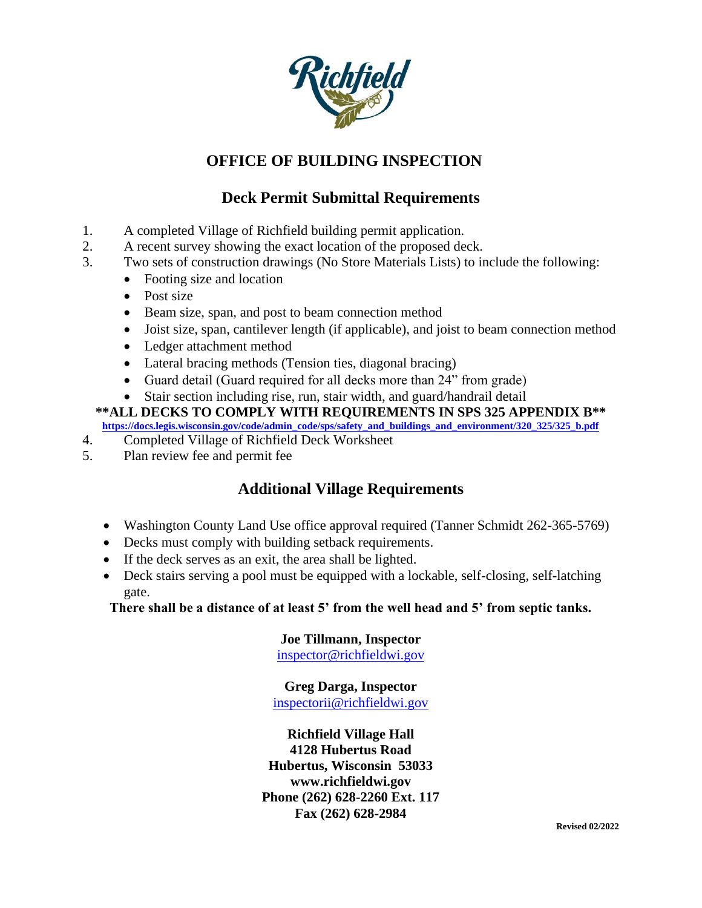

# **OFFICE OF BUILDING INSPECTION**

# **Deck Permit Submittal Requirements**

- 1. A completed Village of Richfield building permit application.
- 2. A recent survey showing the exact location of the proposed deck.
- 3. Two sets of construction drawings (No Store Materials Lists) to include the following:
	- Footing size and location
		- Post size
		- Beam size, span, and post to beam connection method
		- Joist size, span, cantilever length (if applicable), and joist to beam connection method
		- Ledger attachment method
		- Lateral bracing methods (Tension ties, diagonal bracing)
		- Guard detail (Guard required for all decks more than 24" from grade)
	- Stair section including rise, run, stair width, and guard/handrail detail

**\*\*ALL DECKS TO COMPLY WITH REQUIREMENTS IN SPS 325 APPENDIX B\*\* [https://docs.legis.wisconsin.gov/code/admin\\_code/sps/safety\\_and\\_buildings\\_and\\_environment/320\\_325/325\\_b.pdf](https://docs.legis.wisconsin.gov/code/admin_code/sps/safety_and_buildings_and_environment/320_325/325_b.pdf)**

- 4. Completed Village of Richfield Deck Worksheet
- 5. Plan review fee and permit fee

### **Additional Village Requirements**

- Washington County Land Use office approval required (Tanner Schmidt 262-365-5769)
- Decks must comply with building setback requirements.
- If the deck serves as an exit, the area shall be lighted.
- Deck stairs serving a pool must be equipped with a lockable, self-closing, self-latching gate.

**There shall be a distance of at least 5' from the well head and 5' from septic tanks.**

#### **Joe Tillmann, Inspector**

[inspector@richfieldwi.gov](mailto:inspector@richfieldwi.gov)

### **Greg Darga, Inspector**

[inspectorii@richfieldwi.gov](mailto:InspectorII@richfieldwi.gov)

**Richfield Village Hall 4128 Hubertus Road Hubertus, Wisconsin 53033 www.richfieldwi.gov Phone (262) 628-2260 Ext. 117 Fax (262) 628-2984**

**Revised 02/2022**